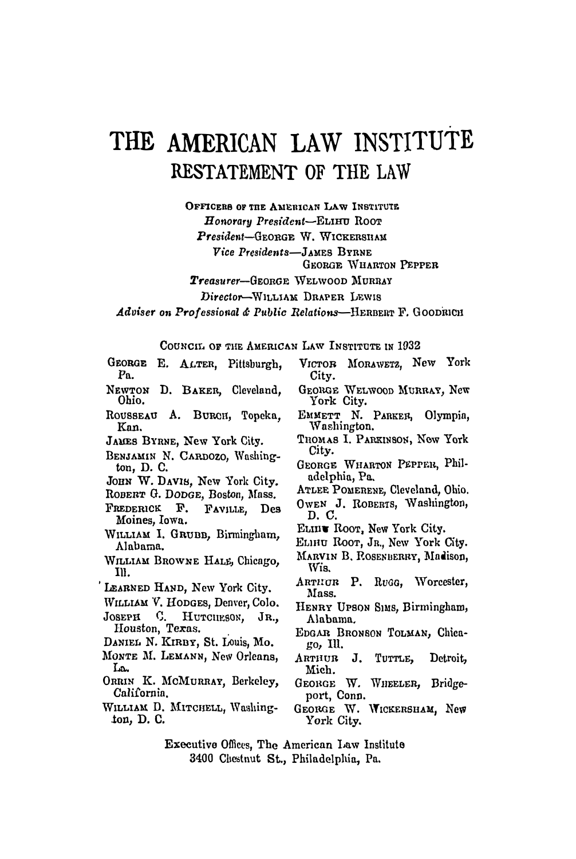## THE AMERICAN LAW INSTITUTE RESTATEMENT OF THE LAW

OFFICERS OF THE AMERICAN LAW INSTITUTE  $H$ onorary President-ELIHU ROOT President-GEORGE W. WICKERSHAM Vice Presidents-JAMES BYRNE **GEORGE WHARTON PEPPER** 

Treasurer-GEORGE WELWOOD MURRAY

Director-WILLIAM DRAPER LEWIS

Adviser on Professional & Public Relations-HERBERT F. GOODRICH

COUNCIL OF THE AMERICAN LAW INSTITUTE IN 1932

- GEORGE E. ALTER, Pittsburgh, Pa.
- NEWTON D. BAKER, Cleveland. Ohio.
- ROUSSEAU A. BURCH, Topeka, Kan.
- JAMES BYRNE, New York City.
- BENJAMIN N. CARDOZO, Washington, D. C.
- JOHN W. DAVIS, New York City.
- ROBERT G. DODGE, Boston, Mass.
- FREDERICK F. FAVILLE, Des Moines, Iowa.
- WILLIAM I. GRUBB. Birmingham. Alabama.
- WILLIAM BROWNE HALE, Chicago, Ill.
- LEARNED HAND, New York City.
- WILLIAM V. HODGES, Denver, Colo.
- Ловери C. HUTCHESON, JR., Houston, Texas.
- DANIEL N. KIRBY, St. Louis, Mo.
- MONTE M. LEMANN, New Orleans, La.
- ORRIN K. MCMURRAY, Berkeley, California.
- WILLIAM D. MITCHELL, Washington, D. C.
- VICTOR MORAWETZ. New York City.
- GEORGE WELWOOD MURRAY, New York City.
- EMMETT N. PARKER, Olympia, Washington.
- THOMAS I. PARKINSON, New York City.
- GEORGE WHARTON PEPPER, Philadelphia, Pa.
- ATLEE POMERENE, Cleveland, Ohio.
- OWEN J. ROBERTS, Washington, D. C.
- ELIIU ROOT, New York City.
- ELIHU ROOT, JR., New York City.
- MARVIN B. ROSENBERRY, Madison, Wis.
- ARTHUR P. RuGG, Worcester, Mass.
- HENRY UPSON SIMS, Birmingham, Alabama.
- EDGAR BRONSON TOLMAN, Chicago, Ill.
- ARTHUR J. TUTTLE, Detroit, Mich.
- GEORGE W. WHEELER, Bridgeport, Conn.
- GEORGE W. WICKERSHAM, New York City.
- Executive Offices. The American Law Institute 3400 Chestnut St., Philadelphia, Pa.